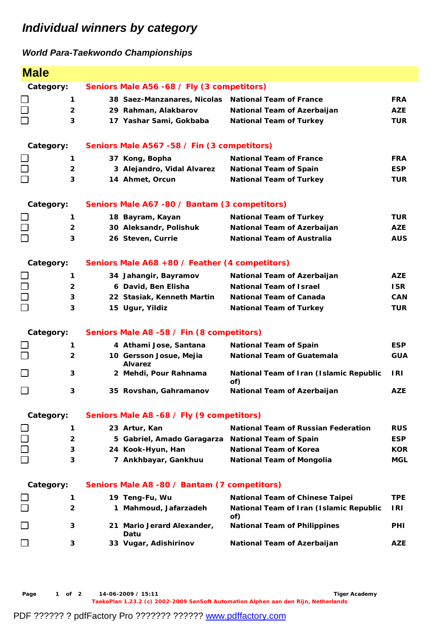## *Individual winners by category*

## *World Para-Taekwondo Championships*

| <b>Male</b>                                       |                |                                                |                                                     |                                                |            |  |  |
|---------------------------------------------------|----------------|------------------------------------------------|-----------------------------------------------------|------------------------------------------------|------------|--|--|
|                                                   | Category:      | Seniors Male A56 -68 / Fly (3 competitors)     |                                                     |                                                |            |  |  |
| $\Box$                                            | 1              |                                                | 38 Saez-Manzanares, Nicolas National Team of France |                                                | <b>FRA</b> |  |  |
| $\Box$                                            | $\overline{2}$ |                                                | 29 Rahman, Alakbarov                                | National Team of Azerbaijan                    | <b>AZE</b> |  |  |
| $\Box$                                            | 3              |                                                | 17 Yashar Sami, Gokbaba                             | <b>National Team of Turkey</b>                 | <b>TUR</b> |  |  |
|                                                   | Category:      |                                                | Seniors Male A567 -58 / Fin (3 competitors)         |                                                |            |  |  |
|                                                   | 1              |                                                | 37 Kong, Bopha                                      | <b>National Team of France</b>                 | <b>FRA</b> |  |  |
| $\begin{array}{c} \square \\ \square \end{array}$ | $\overline{2}$ |                                                | 3 Alejandro, Vidal Alvarez                          | <b>National Team of Spain</b>                  | <b>ESP</b> |  |  |
|                                                   | 3              |                                                | 14 Ahmet, Orcun                                     | <b>National Team of Turkey</b>                 | <b>TUR</b> |  |  |
|                                                   | Category:      |                                                | Seniors Male A67 -80 / Bantam (3 competitors)       |                                                |            |  |  |
|                                                   | 1              |                                                | 18 Bayram, Kayan                                    | <b>National Team of Turkey</b>                 | <b>TUR</b> |  |  |
| $\Box$                                            | $\overline{2}$ |                                                | 30 Aleksandr, Polishuk                              | National Team of Azerbaijan                    | <b>AZE</b> |  |  |
| $\Box$                                            | 3              |                                                | 26 Steven, Currie                                   | <b>National Team of Australia</b>              | <b>AUS</b> |  |  |
| Category:                                         |                | Seniors Male A68 +80 / Feather (4 competitors) |                                                     |                                                |            |  |  |
|                                                   | 1              |                                                | 34 Jahangir, Bayramov                               | National Team of Azerbaijan                    | <b>AZE</b> |  |  |
| $\Box$                                            | $\mathbf{2}$   |                                                | 6 David, Ben Elisha                                 | <b>National Team of Israel</b>                 | <b>ISR</b> |  |  |
| $\Box$                                            | 3              |                                                | 22 Stasiak, Kenneth Martin                          | <b>National Team of Canada</b>                 | <b>CAN</b> |  |  |
| $\Box$                                            | 3              |                                                | 15 Ugur, Yildiz                                     | <b>National Team of Turkey</b>                 | <b>TUR</b> |  |  |
|                                                   | Category:      |                                                | Seniors Male A8 -58 / Fin (8 competitors)           |                                                |            |  |  |
| $\sqcup$                                          | 1              |                                                | 4 Athami Jose, Santana                              | <b>National Team of Spain</b>                  | <b>ESP</b> |  |  |
| $\Box$                                            | $\overline{2}$ |                                                | 10 Gersson Josue, Mejia<br><b>Alvarez</b>           | <b>National Team of Guatemala</b>              | <b>GUA</b> |  |  |
| $\Box$                                            | 3              |                                                | 2 Mehdi, Pour Rahnama                               | National Team of Iran (Islamic Republic<br>of) | I RI       |  |  |
| $\Box$                                            | 3              |                                                | 35 Rovshan, Gahramanov                              | National Team of Azerbaijan                    | <b>AZE</b> |  |  |
| Category:                                         |                | Seniors Male A8 -68 / Fly (9 competitors)      |                                                     |                                                |            |  |  |
|                                                   | 1              |                                                | 23 Artur, Kan                                       | <b>National Team of Russian Federation</b>     | <b>RUS</b> |  |  |
| $\Box$                                            | 2              |                                                | 5 Gabriel, Amado Garagarza National Team of Spain   |                                                | <b>ESP</b> |  |  |
| $\Box$                                            | 3              |                                                | 24 Kook-Hyun, Han                                   | <b>National Team of Korea</b>                  | <b>KOR</b> |  |  |
| $\Box$                                            | 3              |                                                | 7 Ankhbayar, Gankhuu                                | <b>National Team of Mongolia</b>               | <b>MGL</b> |  |  |
| Category:                                         |                | Seniors Male A8 -80 / Bantam (7 competitors)   |                                                     |                                                |            |  |  |
|                                                   | 1              |                                                | 19 Teng-Fu, Wu                                      | <b>National Team of Chinese Taipei</b>         | <b>TPE</b> |  |  |
| □                                                 | 2              |                                                | 1 Mahmoud, Jafarzadeh                               | National Team of Iran (Islamic Republic<br>of) | I RI       |  |  |
| $\Box$                                            | 3              |                                                | 21 Mario Jerard Alexander,<br>Datu                  | <b>National Team of Philippines</b>            | <b>PHI</b> |  |  |
| $\Box$                                            | 3              |                                                | 33 Vugar, Adishirinov                               | National Team of Azerbaijan                    | <b>AZE</b> |  |  |